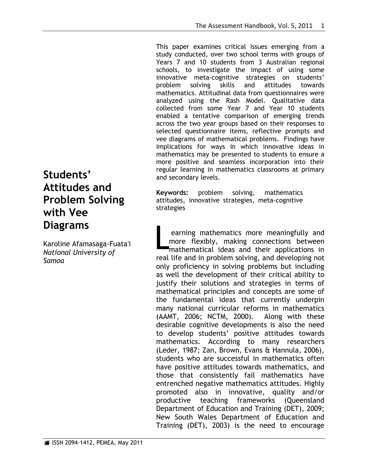This paper examines critical issues emerging from a study conducted, over two school terms with groups of Years 7 and 10 students from 3 Australian regional schools, to investigate the impact of using some innovative meta-cognitive strategies on students' problem solving skills and attitudes towards mathematics. Attitudinal data from questionnaires were analyzed using the Rash Model. Qualitative data collected from some Year 7 and Year 10 students enabled a tentative comparison of emerging trends across the two year groups based on their responses to selected questionnaire items, reflective prompts and vee diagrams of mathematical problems. Findings have implications for ways in which innovative ideas in mathematics may be presented to students to ensure a more positive and seamless incorporation into their regular learning in mathematics classrooms at primary and secondary levels.

**Keywords:** problem solving, mathematics attitudes, innovative strategies, meta-cognitive strategies

earning mathematics more meaningfully and more flexibly, making connections between mathematical ideas and their applications in real life and in problem solving, and developing not only proficiency in solving problems but including as well the development of their critical ability to justify their solutions and strategies in terms of mathematical principles and concepts are some of the fundamental ideas that currently underpin many national curricular reforms in mathematics (AAMT, 2006; NCTM, 2000). Along with these desirable cognitive developments is also the need to develop students" positive attitudes towards mathematics. According to many researchers (Leder, 1987; Zan, Brown, Evans & Hannula, 2006), students who are successful in mathematics often have positive attitudes towards mathematics, and those that consistently fail mathematics have entrenched negative mathematics attitudes. Highly promoted also in innovative, quality and/or productive teaching frameworks (Queensland Department of Education and Training (DET), 2009; New South Wales Department of Education and Training (DET), 2003) is the need to encourage L

# **Students' Attitudes and Problem Solving with Vee Diagrams**

Karoline Afamasaga-Fuata'i *National University of Samoa*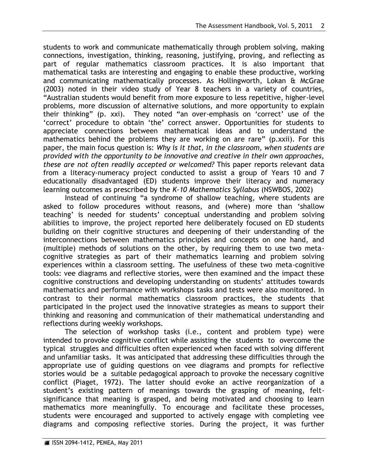students to work and communicate mathematically through problem solving, making connections, investigation, thinking, reasoning, justifying, proving, and reflecting as part of regular mathematics classroom practices. It is also important that mathematical tasks are interesting and engaging to enable these productive, working and communicating mathematically processes. As Hollingworth, Lokan & McGrae (2003) noted in their video study of Year 8 teachers in a variety of countries, "Australian students would benefit from more exposure to less repetitive, higher-level problems, more discussion of alternative solutions, and more opportunity to explain their thinking" (p. xxi). They noted "an over-emphasis on "correct" use of the "correct" procedure to obtain "the" correct answer. Opportunities for students to appreciate connections between mathematical ideas and to understand the mathematics behind the problems they are working on are rare" (p.xxii). For this paper, the main focus question is: *Why is it that, in the classroom, when students are provided with the opportunity to be innovative and creative in their own approaches, these are not often readily accepted or welcomed?* This paper reports relevant data from a literacy-numeracy project conducted to assist a group of Years 10 and 7 educationally disadvantaged (ED) students improve their literacy and numeracy learning outcomes as prescribed by the *K-10 Mathematics Syllabus* (NSWBOS, 2002)

Instead of continuing "a syndrome of shallow teaching, where students are asked to follow procedures without reasons, and (where) more than "shallow teaching' is needed for students' conceptual understanding and problem solving abilities to improve, the project reported here deliberately focused on ED students building on their cognitive structures and deepening of their understanding of the interconnections between mathematics principles and concepts on one hand, and (multiple) methods of solutions on the other, by requiring them to use two metacognitive strategies as part of their mathematics learning and problem solving experiences within a classroom setting. The usefulness of these two meta-cognitive tools: vee diagrams and reflective stories, were then examined and the impact these cognitive constructions and developing understanding on students" attitudes towards mathematics and performance with workshops tasks and tests were also monitored. In contrast to their normal mathematics classroom practices, the students that participated in the project used the innovative strategies as means to support their thinking and reasoning and communication of their mathematical understanding and reflections during weekly workshops.

The selection of workshop tasks (i.e., content and problem type) were intended to provoke cognitive conflict while assisting the students to overcome the typical struggles and difficulties often experienced when faced with solving different and unfamiliar tasks. It was anticipated that addressing these difficulties through the appropriate use of guiding questions on vee diagrams and prompts for reflective stories would be a suitable pedagogical approach to provoke the necessary cognitive conflict (Piaget, 1972). The latter should evoke an active reorganization of a student"s existing pattern of meanings towards the grasping of meaning, feltsignificance that meaning is grasped, and being motivated and choosing to learn mathematics more meaningfully. To encourage and facilitate these processes, students were encouraged and supported to actively engage with completing vee diagrams and composing reflective stories. During the project, it was further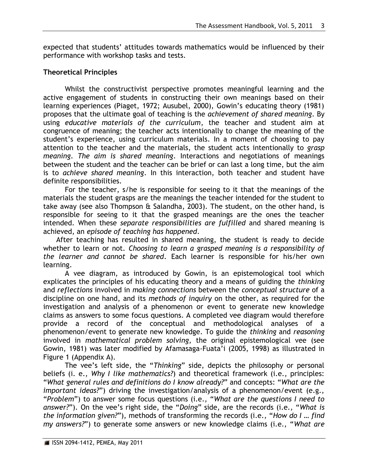expected that students" attitudes towards mathematics would be influenced by their performance with workshop tasks and tests.

### **Theoretical Principles**

Whilst the constructivist perspective promotes meaningful learning and the active engagement of students in constructing their own meanings based on their learning experiences (Piaget, 1972; Ausubel, 2000), Gowin"s educating theory (1981) proposes that the ultimate goal of teaching is the *achievement of shared meaning*. By using *educative materials of the curriculum*, the teacher and student aim at congruence of meaning; the teacher acts intentionally to change the meaning of the student"s experience, using curriculum materials. In a moment of choosing to pay attention to the teacher and the materials, the student acts intentionally to *grasp meaning*. *The aim is shared meaning*. Interactions and negotiations of meanings between the student and the teacher can be brief or can last a long time, but the aim is to *achieve shared meaning*. In this interaction, both teacher and student have definite responsibilities.

For the teacher, s/he is responsible for seeing to it that the meanings of the materials the student grasps are the meanings the teacher intended for the student to take away (see also Thompson & Salandha, 2003). The student, on the other hand, is responsible for seeing to it that the grasped meanings are the ones the teacher intended. When these *separate responsibilities are fulfilled* and shared meaning is achieved, an *episode of teaching has happened*.

After teaching has resulted in shared meaning, the student is ready to decide whether to learn or not. *Choosing to learn a grasped meaning is a responsibility of the learner and cannot be shared*. Each learner is responsible for his/her own learning.

A vee diagram, as introduced by Gowin, is an epistemological tool which explicates the principles of his educating theory and a means of guiding the *thinking* and *reflections* involved in *making connections* between the *conceptual structure* of a discipline on one hand, and its *methods of inquiry* on the other, as required for the investigation and analysis of a phenomenon or event to generate new knowledge claims as answers to some focus questions. A completed vee diagram would therefore provide a record of the conceptual and methodological analyses of a phenomenon/event to generate new knowledge. To guide the *thinking* and *reasoning* involved in *mathematical problem solving*, the original epistemological vee (see Gowin, 1981) was later modified by Afamasaga-Fuata"i (2005, 1998) as illustrated in Figure 1 (Appendix A).

The vee"s left side, the "*Thinking*" side, depicts the philosophy or personal beliefs (i. e., *Why I like mathematics?*) and theoretical framework (i.e., principles: "*What general rules and definitions do I know already?*" and concepts: "*What are the important ideas?*") driving the investigation/analysis of a phenomenon/event (e.g., "*Problem*") to answer some focus questions (i.e., "*What are the questions I need to answer?*"). On the vee"s right side, the "*Doing*" side, are the records (i.e., "*What is the information given?*"), methods of transforming the records (i.e., "*How do I … find my answers?*") to generate some answers or new knowledge claims (i.e., "*What are*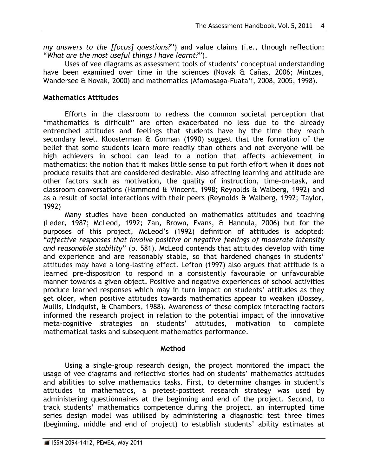*my answers to the [focus] questions?*") and value claims (i.e., through reflection: "*What are the most useful things I have learnt?*").

Uses of vee diagrams as assessment tools of students' conceptual understanding have been examined over time in the sciences (Novak & Cañas, 2006; Mintzes, Wandersee & Novak, 2000) and mathematics (Afamasaga-Fuata"i, 2008, 2005, 1998).

### **Mathematics Attitudes**

Efforts in the classroom to redress the common societal perception that "mathematics is difficult" are often exacerbated no less due to the already entrenched attitudes and feelings that students have by the time they reach secondary level. Kloosterman & Gorman (1990) suggest that the formation of the belief that some students learn more readily than others and not everyone will be high achievers in school can lead to a notion that affects achievement in mathematics: the notion that it makes little sense to put forth effort when it does not produce results that are considered desirable. Also affecting learning and attitude are other factors such as motivation, the quality of instruction, time-on-task, and classroom conversations (Hammond & Vincent, 1998; Reynolds & Walberg, 1992) and as a result of social interactions with their peers (Reynolds & Walberg, 1992; Taylor, 1992)

Many studies have been conducted on mathematics attitudes and teaching (Leder, 1987; McLeod, 1992; Zan, Brown, Evans, & Hannula, 2006) but for the purposes of this project, McLeod"s (1992) definition of attitudes is adopted: "*affective responses that involve positive or negative feelings of moderate intensity and reasonable stability*" (p. 581). McLeod contends that attitudes develop with time and experience and are reasonably stable, so that hardened changes in students' attitudes may have a long-lasting effect. Lefton (1997) also argues that attitude is a learned pre-disposition to respond in a consistently favourable or unfavourable manner towards a given object. Positive and negative experiences of school activities produce learned responses which may in turn impact on students' attitudes as they get older, when positive attitudes towards mathematics appear to weaken (Dossey, Mullis, Lindquist, & Chambers, 1988). Awareness of these complex interacting factors informed the research project in relation to the potential impact of the innovative meta-cognitive strategies on students' attitudes, motivation to complete mathematical tasks and subsequent mathematics performance.

### **Method**

Using a single-group research design, the project monitored the impact the usage of vee diagrams and reflective stories had on students' mathematics attitudes and abilities to solve mathematics tasks. First, to determine changes in student"s attitudes to mathematics, a pretest-posttest research strategy was used by administering questionnaires at the beginning and end of the project. Second, to track students" mathematics competence during the project, an interrupted time series design model was utilised by administering a diagnostic test three times (beginning, middle and end of project) to establish students' ability estimates at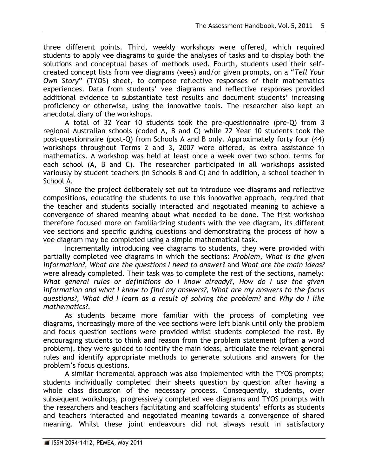three different points. Third, weekly workshops were offered, which required students to apply vee diagrams to guide the analyses of tasks and to display both the solutions and conceptual bases of methods used. Fourth, students used their selfcreated concept lists from vee diagrams (vees) and/or given prompts, on a "*Tell Your Own Story*" (TYOS) sheet, to compose reflective responses of their mathematics experiences. Data from students' vee diagrams and reflective responses provided additional evidence to substantiate test results and document students' increasing proficiency or otherwise, using the innovative tools. The researcher also kept an anecdotal diary of the workshops.

A total of 32 Year 10 students took the pre-questionnaire (pre-Q) from 3 regional Australian schools (coded A, B and C) while 22 Year 10 students took the post-questionnaire (post-Q) from Schools A and B only. Approximately forty four (44) workshops throughout Terms 2 and 3, 2007 were offered, as extra assistance in mathematics. A workshop was held at least once a week over two school terms for each school (A, B and C). The researcher participated in all workshops assisted variously by student teachers (in Schools B and C) and in addition, a school teacher in School A.

Since the project deliberately set out to introduce vee diagrams and reflective compositions, educating the students to use this innovative approach, required that the teacher and students socially interacted and negotiated meaning to achieve a convergence of shared meaning about what needed to be done. The first workshop therefore focused more on familiarizing students with the vee diagram, its different vee sections and specific guiding questions and demonstrating the process of how a vee diagram may be completed using a simple mathematical task.

Incrementally introducing vee diagrams to students, they were provided with partially completed vee diagrams in which the sections: *Problem, What is the given information?, What are the questions I need to answer?* and *What are the main ideas?*  were already completed. Their task was to complete the rest of the sections, namely: *What general rules or definitions do I know already?, How do I use the given information and what I know to find my answers?, What are my answers to the focus questions?, What did I learn as a result of solving the problem?* and *Why do I like mathematics?.* 

As students became more familiar with the process of completing vee diagrams, increasingly more of the vee sections were left blank until only the problem and focus question sections were provided whilst students completed the rest. By encouraging students to think and reason from the problem statement (often a word problem), they were guided to identify the main ideas, articulate the relevant general rules and identify appropriate methods to generate solutions and answers for the problem"s focus questions.

A similar incremental approach was also implemented with the TYOS prompts; students individually completed their sheets question by question after having a whole class discussion of the necessary process. Consequently, students, over subsequent workshops, progressively completed vee diagrams and TYOS prompts with the researchers and teachers facilitating and scaffolding students' efforts as students and teachers interacted and negotiated meaning towards a convergence of shared meaning. Whilst these joint endeavours did not always result in satisfactory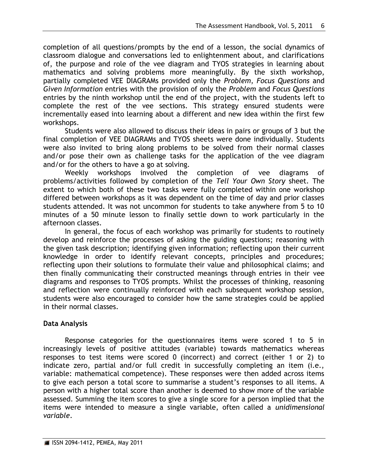completion of all questions/prompts by the end of a lesson, the social dynamics of classroom dialogue and conversations led to enlightenment about, and clarifications of, the purpose and role of the vee diagram and TYOS strategies in learning about mathematics and solving problems more meaningfully. By the sixth workshop, partially completed VEE DIAGRAMs provided only the *Problem*, *Focus Questions* and *Given Information* entries with the provision of only the *Problem* and *Focus Questions* entries by the ninth workshop until the end of the project, with the students left to complete the rest of the vee sections. This strategy ensured students were incrementally eased into learning about a different and new idea within the first few workshops.

Students were also allowed to discuss their ideas in pairs or groups of 3 but the final completion of VEE DIAGRAMs and TYOS sheets were done individually. Students were also invited to bring along problems to be solved from their normal classes and/or pose their own as challenge tasks for the application of the vee diagram and/or for the others to have a go at solving.

Weekly workshops involved the completion of vee diagrams of problems/activities followed by completion of the *Tell Your Own Story* sheet. The extent to which both of these two tasks were fully completed within one workshop differed between workshops as it was dependent on the time of day and prior classes students attended. It was not uncommon for students to take anywhere from 5 to 10 minutes of a 50 minute lesson to finally settle down to work particularly in the afternoon classes.

In general, the focus of each workshop was primarily for students to routinely develop and reinforce the processes of asking the guiding questions; reasoning with the given task description; identifying given information; reflecting upon their current knowledge in order to identify relevant concepts, principles and procedures; reflecting upon their solutions to formulate their value and philosophical claims; and then finally communicating their constructed meanings through entries in their vee diagrams and responses to TYOS prompts. Whilst the processes of thinking, reasoning and reflection were continually reinforced with each subsequent workshop session, students were also encouraged to consider how the same strategies could be applied in their normal classes.

### **Data Analysis**

Response categories for the questionnaires items were scored 1 to 5 in increasingly levels of positive attitudes (variable) towards mathematics whereas responses to test items were scored 0 (incorrect) and correct (either 1 or 2) to indicate zero, partial and/or full credit in successfully completing an item (i.e., variable: mathematical competence). These responses were then added across items to give each person a total score to summarise a student"s responses to all items. A person with a higher total score than another is deemed to show more of the variable assessed. Summing the item scores to give a single score for a person implied that the items were intended to measure a single variable, often called a *unidimensional variable*.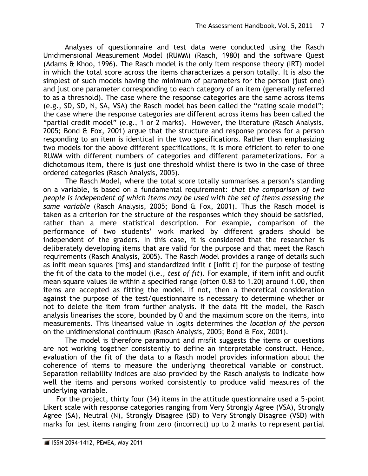Analyses of questionnaire and test data were conducted using the Rasch Unidimensional Measurement Model (RUMM) (Rasch, 1980) and the software Quest (Adams & Khoo, 1996). The Rasch model is the only item response theory (IRT) model in which the total score across the items characterizes a person totally. It is also the simplest of such models having the minimum of parameters for the person (just one) and just one parameter corresponding to each category of an item (generally referred to as a threshold). The case where the response categories are the same across items (e.g., SD, SD, N, SA, VSA) the Rasch model has been called the "rating scale model"; the case where the response categories are different across items has been called the "partial credit model" (e.g., 1 or 2 marks). However, the literature (Rasch Analysis, 2005; Bond & Fox, 2001) argue that the structure and response process for a person responding to an item is identical in the two specifications. Rather than emphasizing two models for the above different specifications, it is more efficient to refer to one RUMM with different numbers of categories and different parameterizations. For a dichotomous item, there is just one threshold whilst there is two in the case of three ordered categories (Rasch Analysis, 2005).

The Rasch Model, where the total score totally summarises a person"s standing on a variable, is based on a fundamental requirement: *that the comparison of two people is independent of which items may be used with the set of items assessing the same variable* (Rasch Analysis, 2005; Bond & Fox, 2001). Thus the Rasch model is taken as a criterion for the structure of the responses which they should be satisfied, rather than a mere statistical description. For example, comparison of the performance of two students" work marked by different graders should be independent of the graders. In this case, it is considered that the researcher is deliberately developing items that are valid for the purpose and that meet the Rasch requirements (Rasch Analysis, 2005). The Rasch Model provides a range of details such as infit mean squares [ims] and standardized infit *t* [infit *t*] for the purpose of testing the fit of the data to the model (i.e., *test of fit*). For example, if item infit and outfit mean square values lie within a specified range (often 0.83 to 1.20) around 1.00, then items are accepted as fitting the model. If not, then a theoretical consideration against the purpose of the test/questionnaire is necessary to determine whether or not to delete the item from further analysis. If the data fit the model, the Rasch analysis linearises the score, bounded by 0 and the maximum score on the items, into measurements. This linearised value in logits determines the *location of the person* on the unidimensional continuum (Rasch Analysis, 2005; Bond & Fox, 2001).

The model is therefore paramount and misfit suggests the items or questions are not working together consistently to define an interpretable construct. Hence, evaluation of the fit of the data to a Rasch model provides information about the coherence of items to measure the underlying theoretical variable or construct. Separation reliability indices are also provided by the Rasch analysis to indicate how well the items and persons worked consistently to produce valid measures of the underlying variable.

For the project, thirty four (34) items in the attitude questionnaire used a 5-point Likert scale with response categories ranging from Very Strongly Agree (VSA), Strongly Agree (SA), Neutral (N), Strongly Disagree (SD) to Very Strongly Disagree (VSD) with marks for test items ranging from zero (incorrect) up to 2 marks to represent partial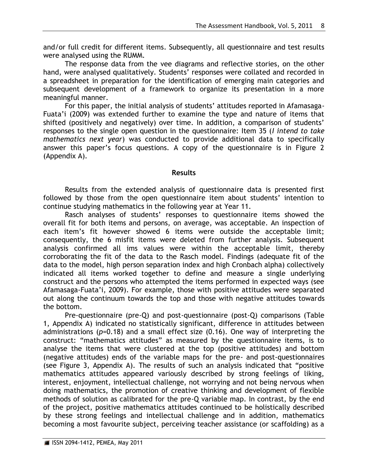and/or full credit for different items. Subsequently, all questionnaire and test results were analysed using the RUMM.

The response data from the vee diagrams and reflective stories, on the other hand, were analysed qualitatively. Students' responses were collated and recorded in a spreadsheet in preparation for the identification of emerging main categories and subsequent development of a framework to organize its presentation in a more meaningful manner.

For this paper, the initial analysis of students' attitudes reported in Afamasaga-Fuata'i (2009) was extended further to examine the type and nature of items that shifted (positively and negatively) over time. In addition, a comparison of students' responses to the single open question in the questionnaire: Item 35 (*I intend to take mathematics next year*) was conducted to provide additional data to specifically answer this paper's focus questions. A copy of the questionnaire is in Figure 2 (Appendix A).

### **Results**

Results from the extended analysis of questionnaire data is presented first followed by those from the open questionnaire item about students' intention to continue studying mathematics in the following year at Year 11.

Rasch analyses of students' responses to questionnaire items showed the overall fit for both items and persons, on average, was acceptable. An inspection of each item's fit however showed 6 items were outside the acceptable limit; consequently, the 6 misfit items were deleted from further analysis. Subsequent analysis confirmed all ims values were within the acceptable limit, thereby corroborating the fit of the data to the Rasch model. Findings (adequate fit of the data to the model, high person separation index and high Cronbach alpha) collectively indicated all items worked together to define and measure a single underlying construct and the persons who attempted the items performed in expected ways (see Afamasaga-Fuata"i, 2009). For example, those with positive attitudes were separated out along the continuum towards the top and those with negative attitudes towards the bottom.

Pre-questionnaire (pre-Q) and post-questionnaire (post-Q) comparisons (Table 1, Appendix A) indicated no statistically significant, difference in attitudes between administrations (*p*=0.18) and a small effect size (0.16). One way of interpreting the construct: "mathematics attitudes" as measured by the questionnaire items, is to analyse the items that were clustered at the top (positive attitudes) and bottom (negative attitudes) ends of the variable maps for the pre- and post-questionnaires (see Figure 3, Appendix A). The results of such an analysis indicated that "positive mathematics attitudes appeared variously described by strong feelings of liking, interest, enjoyment, intellectual challenge, not worrying and not being nervous when doing mathematics, the promotion of creative thinking and development of flexible methods of solution as calibrated for the pre-Q variable map. In contrast, by the end of the project, positive mathematics attitudes continued to be holistically described by these strong feelings and intellectual challenge and in addition, mathematics becoming a most favourite subject, perceiving teacher assistance (or scaffolding) as a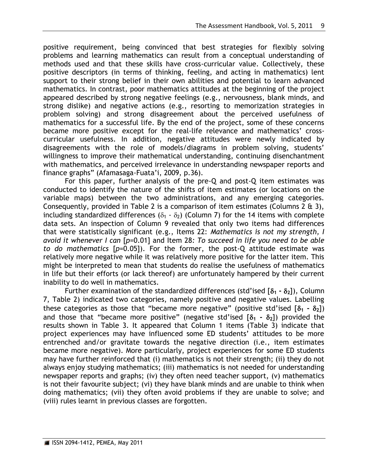positive requirement, being convinced that best strategies for flexibly solving problems and learning mathematics can result from a conceptual understanding of methods used and that these skills have cross-curricular value. Collectively, these positive descriptors (in terms of thinking, feeling, and acting in mathematics) lent support to their strong belief in their own abilities and potential to learn advanced mathematics. In contrast, poor mathematics attitudes at the beginning of the project appeared described by strong negative feelings (e.g., nervousness, blank minds, and strong dislike) and negative actions (e.g., resorting to memorization strategies in problem solving) and strong disagreement about the perceived usefulness of mathematics for a successful life. By the end of the project, some of these concerns became more positive except for the real-life relevance and mathematics" crosscurricular usefulness. In addition, negative attitudes were newly indicated by disagreements with the role of models/diagrams in problem solving, students" willingness to improve their mathematical understanding, continuing disenchantment with mathematics, and perceived irrelevance in understanding newspaper reports and finance graphs" (Afamasaga-Fuata"i, 2009, p.36).

For this paper, further analysis of the pre-Q and post-Q item estimates was conducted to identify the nature of the shifts of item estimates (or locations on the variable maps) between the two administrations, and any emerging categories. Consequently, provided in Table 2 is a comparison of item estimates (Columns 2 & 3), including standardized differences  $(\delta_1 - \delta_2)$  (Column 7) for the 14 items with complete data sets. An inspection of Column 9 revealed that only two items had differences that were statistically significant (e.g., Items 22: *Mathematics is not my strength, I avoid it whenever I can* [*p*=0.01] and Item 28*: To succeed in life you need to be able to do mathematics* [*p*=0.05]). For the former, the post-Q attitude estimate was relatively more negative while it was relatively more positive for the latter item. This might be interpreted to mean that students do realise the usefulness of mathematics in life but their efforts (or lack thereof) are unfortunately hampered by their current inability to do well in mathematics.

Further examination of the standardized differences (std'ised  $[\delta_1 - \delta_2]$ ), Column 7, Table 2) indicated two categories, namely positive and negative values. Labelling these categories as those that "became more negative" (positive std'ised  $[\delta_1 - \delta_2]$ ) and those that "became more positive" (negative std'ised  $[\delta_1 - \delta_2]$ ) provided the results shown in Table 3. It appeared that Column 1 items (Table 3) indicate that project experiences may have influenced some ED students' attitudes to be more entrenched and/or gravitate towards the negative direction (i.e., item estimates became more negative). More particularly, project experiences for some ED students may have further reinforced that (i) mathematics is not their strength; (ii) they do not always enjoy studying mathematics; (iii) mathematics is not needed for understanding newspaper reports and graphs; (iv) they often need teacher support, (v) mathematics is not their favourite subject; (vi) they have blank minds and are unable to think when doing mathematics; (vii) they often avoid problems if they are unable to solve; and (viii) rules learnt in previous classes are forgotten.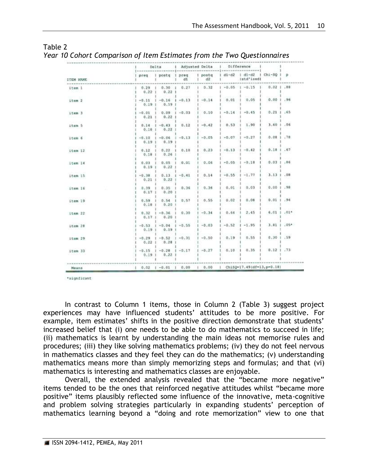|           | <br>------                       |                                              | Delta   Adjusted Delta   Difference |               |         |                                                                                   |              |            |
|-----------|----------------------------------|----------------------------------------------|-------------------------------------|---------------|---------|-----------------------------------------------------------------------------------|--------------|------------|
| ITEM NAME | preq                             | I postq I preq                               | d1                                  | I postq<br>d2 |         | d1-d2   d1-d2   Chi-50   p<br>Istd'ised)<br>************************************* |              |            |
| item 1    | **********************<br>0.29.1 | $0.22$ $1$ $0.22$ 1                          | $0.30 \pm 0.27$                     | 1, 0.32       |         | $1 - 0.05$ $1 - 0.15$ $1$ $0.02$ $1.88$                                           |              |            |
| item 2    | $-0.11$<br>0.19.1                | $-0.16$ $1 - 0.13$<br>0.19                   |                                     | $-0.14$       | 0.01    | 0.05                                                                              | 0.001.96     |            |
| item 3    | $-0.01$<br>0.21.1                | $0.09$ $1 - 0.03$<br>0.22                    |                                     | 0.10          | $-0.14$ | $-0.45$                                                                           | 0.211        | 165        |
| item 5    | 0.18.1                           | $0.14$ $1 - 0.43$ $1$ 0.12<br>0.22           |                                     | $-0.42$       | 0.53    | 1.90                                                                              | 3.60   .06   |            |
| item 6    | $-0.10$<br>0.19.1                | $1 - 0.06$<br>0.19.1                         | $-0.13$                             | $-0.05$       | $-0.07$ | $+0.27$                                                                           | 0.08         | , 78       |
| item 12   | 0.12<br>0.181                    | $0.22 - 1$<br>0.26                           | 0.10                                | 0.23          | $-0.13$ | $-0.42$                                                                           | 0.101.67     |            |
| item 14   | 0.03<br>0.19.1                   | 0.05<br>0.22.1                               | 0.01                                | 0.06          | $-0.05$ | $-0.18$                                                                           | 0.03         | .86        |
| item 15   | $-0.38.1$<br>0.211               | 0.13.<br>0.22                                | $-0.41$                             | 0.14          | $-0.55$ | $-1.77$                                                                           | $3.13 + .08$ |            |
| item 16   | $0.39$ $1$<br>$0.17$             | 0.35.1<br>$0.20$ 1                           | 0.36                                | 0.36          | 0.01    | 0.03                                                                              | 0.00         | .98        |
| item 19   | 0,59.1<br>0.18.1                 | $0.54$ 1<br>0.20                             | 0.57                                | 0.55          | 0.02    | 0.08                                                                              | 0.01         | .94        |
| Item 22   | 0.32<br>0.17.1                   | $1 - 0.36$ 1<br>0.201                        | 0.30                                | $-0.34$       | 0.64    | 2.45                                                                              | 5.01         | $.01*$     |
| item 28   | $-0.53$                          | $-0.04$<br>$0.19$ $1$ $0.19$ 1               | $-0.55$                             | $-0.03$       | $-0.52$ | $-1.95$                                                                           | 3.61         | $.05*$     |
| item 29   | $+0.29$<br>0.221                 | $1 - 0.52$<br>0.281                          | $1 - 0.31$                          | $+0.50$       | 0.19    | 0.55                                                                              | 0.30         | .59        |
| item 33   |                                  | $-0.15$ $1 - 0.20$ $1 - 0.17$<br>0.191 0.221 |                                     | $1 - 0.27$    | 0.10    | 0.35                                                                              | $0.12$ 1 .73 |            |
| Means     |                                  |                                              |                                     |               |         | $0.02$   $-0.01$   $0.00$   $0.00$   $ChiSQ=17.49{idf=13, p=0.18}$                |              | ---------- |

| Table 2                                                                 |  |  |
|-------------------------------------------------------------------------|--|--|
| Year 10 Cohort Comparison of Item Estimates from the Two Questionnaires |  |  |

\*signficant

In contrast to Column 1 items, those in Column 2 (Table 3) suggest project experiences may have influenced students' attitudes to be more positive. For example, item estimates' shifts in the positive direction demonstrate that students' increased belief that (i) one needs to be able to do mathematics to succeed in life; (ii) mathematics is learnt by understanding the main ideas not memorise rules and procedures; (iii) they like solving mathematics problems; (iv) they do not feel nervous in mathematics classes and they feel they can do the mathematics; (v) understanding mathematics means more than simply memorizing steps and formulas; and that (vi) mathematics is interesting and mathematics classes are enjoyable.

Overall, the extended analysis revealed that the "became more negative" items tended to be the ones that reinforced negative attitudes whilst "became more positive" items plausibly reflected some influence of the innovative, meta-cognitive and problem solving strategies particularly in expanding students' perception of mathematics learning beyond a "doing and rote memorization" view to one that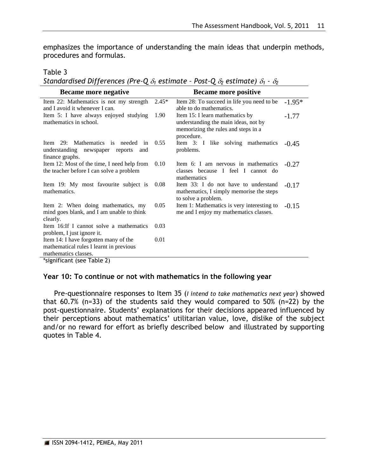emphasizes the importance of understanding the main ideas that underpin methods, procedures and formulas.

Table 3

*Standardised Differences (Pre-Q*  $\delta_1$  *estimate - Post-Q*  $\delta_2$  *estimate)*  $\delta_1$  *-*  $\delta_2$ 

| Became more negative                                                                                   |         | <b>Became more positive</b>                                                                                                  |          |
|--------------------------------------------------------------------------------------------------------|---------|------------------------------------------------------------------------------------------------------------------------------|----------|
| Item 22: Mathematics is not my strength<br>and I avoid it whenever I can.                              | $2.45*$ | Item 28: To succeed in life you need to be<br>able to do mathematics.                                                        | $-1.95*$ |
| Item 5: I have always enjoyed studying<br>mathematics in school.                                       | 1.90    | Item 15: I learn mathematics by<br>understanding the main ideas, not by<br>memorizing the rules and steps in a<br>procedure. | $-1.77$  |
| Item 29: Mathematics is needed in 0.55<br>understanding<br>newspaper reports<br>and<br>finance graphs. |         | Item 3: I like solving mathematics<br>problems.                                                                              | $-0.45$  |
| Item 12: Most of the time, I need help from<br>the teacher before I can solve a problem                | 0.10    | Item 6: I am nervous in mathematics<br>classes because I feel I cannot do<br>mathematics                                     | $-0.27$  |
| Item 19: My most favourite subject is<br>mathematics.                                                  | 0.08    | Item 33: I do not have to understand<br>mathematics, I simply memorise the steps<br>to solve a problem.                      | $-0.17$  |
| Item 2: When doing mathematics, my<br>mind goes blank, and I am unable to think<br>clearly.            | 0.05    | Item 1: Mathematics is very interesting to<br>me and I enjoy my mathematics classes.                                         | $-0.15$  |
| Item 16:If I cannot solve a mathematics                                                                | 0.03    |                                                                                                                              |          |
| problem, I just ignore it.                                                                             |         |                                                                                                                              |          |
| Item 14: I have forgotten many of the                                                                  | 0.01    |                                                                                                                              |          |
| mathematical rules I learnt in previous                                                                |         |                                                                                                                              |          |
| mathematics classes.                                                                                   |         |                                                                                                                              |          |
| *significant (see Table 2)                                                                             |         |                                                                                                                              |          |

#### **Year 10: To continue or not with mathematics in the following year**

Pre-questionnaire responses to Item 35 (*I intend to take mathematics next year*) showed that 60.7% (n=33) of the students said they would compared to 50% (n=22) by the post-questionnaire. Students' explanations for their decisions appeared influenced by their perceptions about mathematics' utilitarian value, love, dislike of the subject and/or no reward for effort as briefly described below and illustrated by supporting quotes in Table 4.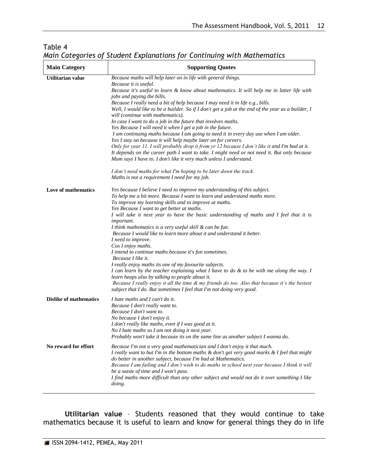| $m$ u $n$ cutt $s$ orito oj<br><b>Main Category</b> | staathe Explanations for continuing with mathematics<br><b>Supporting Quotes</b>                                                                                                                                                                                                                                                                                                                                                                                                                                                                                                                                                                                                                                                                                                                                                                                                                                                                                                                                                                                                                                                         |  |  |
|-----------------------------------------------------|------------------------------------------------------------------------------------------------------------------------------------------------------------------------------------------------------------------------------------------------------------------------------------------------------------------------------------------------------------------------------------------------------------------------------------------------------------------------------------------------------------------------------------------------------------------------------------------------------------------------------------------------------------------------------------------------------------------------------------------------------------------------------------------------------------------------------------------------------------------------------------------------------------------------------------------------------------------------------------------------------------------------------------------------------------------------------------------------------------------------------------------|--|--|
| Utilitarian value                                   | Because maths will help later on in life with general things.<br>Because it is useful.<br>Because it's useful to learn & know about mathematics. It will help me in latter life with<br>jobs and paying the bills.<br>Because I really need a bit of help because I may need it in life e.g., bills.<br>Well, I would like to be a builder. So if I don't get a job at the end of the year as a builder, I<br>will (continue with mathematics).<br>In case I want to do a job in the future that involves maths.<br>Yes Because I will need it when I get a job in the future.<br>I am continuing maths because I am going to need it in every day use when I am older.<br>Yes I stay on because it will help maybe later on for careers.<br>Only for year 11. I will probably drop it from yr 12 because I don't like it and I'm bad at it.<br>It depends on the career path I want to take. I might need or not need it. But only because<br>Mum says I have to. I don't like it very much unless I understand.<br>I don't need maths for what I'm hoping to be later down the track.<br>Maths is not a requirement I need for my job. |  |  |
| Love of mathematics                                 | Yes because I believe I need to improve my understanding of this subject.<br>To help me a bit more. Because I want to learn and understand maths more.<br>To improve my learning skills and to improve at maths.<br>Yes Because I want to get better at maths.<br>I will take it next year to have the basic understanding of maths and I feel that it is<br><i>important.</i><br>I think mathematics is a very useful skill & can be fun.<br>Because I would like to learn more about it and understand it better.<br>I need to improve.<br>Cos I enjoy maths.<br>I intend to continue maths because it's fun sometimes.<br>Because I like it.<br>I really enjoy maths its one of my favourite subjects.<br>I can learn by the teacher explaining what I have to do $\&$ to be with me along the way. I<br>learn heaps also by talking to people about it.<br>Because I really enjoy it all the time & my friends do too. Also that because it's the bestest<br>subject that I do. But sometimes I feel that I'm not doing very good.                                                                                                   |  |  |
| <b>Dislike of mathematics</b>                       | I hate maths and I can't do it.<br>Because I don't really want to.<br>Because I don't want to.<br>No because I don't enjoy it.<br>I don't really like maths, even if I was good at it.<br>No I hate maths so I am not doing it next year.<br>Probably won't take it because its on the same line as another subject I wanna do.                                                                                                                                                                                                                                                                                                                                                                                                                                                                                                                                                                                                                                                                                                                                                                                                          |  |  |
| No reward for effort                                | Because I'm not a very good mathematician and I don't enjoy it that much.<br>I really want to but I'm in the bottom maths & don't get very good marks & I feel that might<br>do better in another subject, because I'm bad at Mathematics.<br>Because I am failing and I don't wish to do maths in school next year because I think it will<br>be a waste of time and I won't pass.<br>I find maths more difficult than any other subject and would not do it over something I like<br>doing.                                                                                                                                                                                                                                                                                                                                                                                                                                                                                                                                                                                                                                            |  |  |

## Table 4 *Main Categories of Student Explanations for Continuing with Mathematics*

**Utilitarian value** – Students reasoned that they would continue to take mathematics because it is useful to learn and know for general things they do in life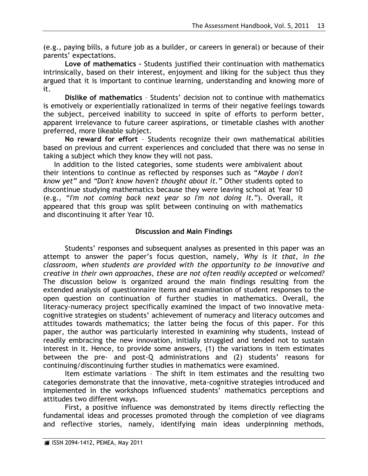(e.g., paying bills, a future job as a builder, or careers in general) or because of their parents' expectations.

**Love of mathematics –** Students justified their continuation with mathematics intrinsically, based on their interest, enjoyment and liking for the subject thus they argued that it is important to continue learning, understanding and knowing more of it.

**Dislike of mathematics** – Students" decision not to continue with mathematics is emotively or experientially rationalized in terms of their negative feelings towards the subject, perceived inability to succeed in spite of efforts to perform better, apparent irrelevance to future career aspirations, or timetable clashes with another preferred, more likeable subject.

**No reward for effort** – Students recognize their own mathematical abilities based on previous and current experiences and concluded that there was no sense in taking a subject which they know they will not pass.

In addition to the listed categories, some students were ambivalent about their intentions to continue as reflected by responses such as "*Maybe I don't know yet"* and *"Don't know haven't thought about it."* Other students opted to discontinue studying mathematics because they were leaving school at Year 10 (e.g., "*I'm not coming back next year so I'm not doing it.*"). Overall, it appeared that this group was split between continuing on with mathematics and discontinuing it after Year 10.

### **Discussion and Main Findings**

Students' responses and subsequent analyses as presented in this paper was an attempt to answer the paper"s focus question, namely, *Why is it that, in the classroom, when students are provided with the opportunity to be innovative and creative in their own approaches, these are not often readily accepted or welcomed?* The discussion below is organized around the main findings resulting from the extended analysis of questionnaire items and examination of student responses to the open question on continuation of further studies in mathematics. Overall, the literacy-numeracy project specifically examined the impact of two innovative metacognitive strategies on students" achievement of numeracy and literacy outcomes and attitudes towards mathematics; the latter being the focus of this paper. For this paper, the author was particularly interested in examining why students, instead of readily embracing the new innovation, initially struggled and tended not to sustain interest in it. Hence, to provide some answers, (1) the variations in item estimates between the pre- and post-Q administrations and (2) students' reasons for continuing/discontinuing further studies in mathematics were examined.

Item estimate variations – The shift in item estimates and the resulting two categories demonstrate that the innovative, meta-cognitive strategies introduced and implemented in the workshops influenced students' mathematics perceptions and attitudes two different ways.

First, a positive influence was demonstrated by items directly reflecting the fundamental ideas and processes promoted through the completion of vee diagrams and reflective stories, namely, identifying main ideas underpinning methods,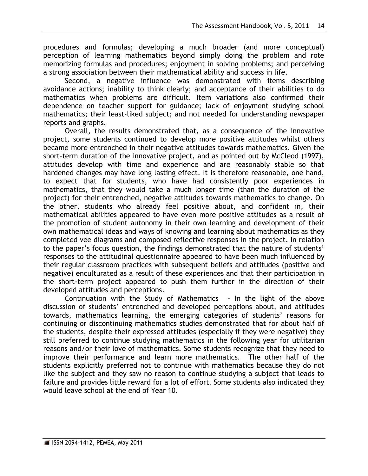procedures and formulas; developing a much broader (and more conceptual) perception of learning mathematics beyond simply doing the problem and rote memorizing formulas and procedures; enjoyment in solving problems; and perceiving a strong association between their mathematical ability and success in life.

Second, a negative influence was demonstrated with items describing avoidance actions; inability to think clearly; and acceptance of their abilities to do mathematics when problems are difficult. Item variations also confirmed their dependence on teacher support for guidance; lack of enjoyment studying school mathematics; their least-liked subject; and not needed for understanding newspaper reports and graphs.

Overall, the results demonstrated that, as a consequence of the innovative project, some students continued to develop more positive attitudes whilst others became more entrenched in their negative attitudes towards mathematics. Given the short-term duration of the innovative project, and as pointed out by McCleod (1997), attitudes develop with time and experience and are reasonably stable so that hardened changes may have long lasting effect. It is therefore reasonable, one hand, to expect that for students, who have had consistently poor experiences in mathematics, that they would take a much longer time (than the duration of the project) for their entrenched, negative attitudes towards mathematics to change. On the other, students who already feel positive about, and confident in, their mathematical abilities appeared to have even more positive attitudes as a result of the promotion of student autonomy in their own learning and development of their own mathematical ideas and ways of knowing and learning about mathematics as they completed vee diagrams and composed reflective responses in the project. In relation to the paper"s focus question, the findings demonstrated that the nature of students" responses to the attitudinal questionnaire appeared to have been much influenced by their regular classroom practices with subsequent beliefs and attitudes (positive and negative) enculturated as a result of these experiences and that their participation in the short-term project appeared to push them further in the direction of their developed attitudes and perceptions.

Continuation with the Study of Mathematics - In the light of the above discussion of students" entrenched and developed perceptions about, and attitudes towards, mathematics learning, the emerging categories of students' reasons for continuing or discontinuing mathematics studies demonstrated that for about half of the students, despite their expressed attitudes (especially if they were negative) they still preferred to continue studying mathematics in the following year for utilitarian reasons and/or their love of mathematics. Some students recognize that they need to improve their performance and learn more mathematics. The other half of the students explicitly preferred not to continue with mathematics because they do not like the subject and they saw no reason to continue studying a subject that leads to failure and provides little reward for a lot of effort. Some students also indicated they would leave school at the end of Year 10.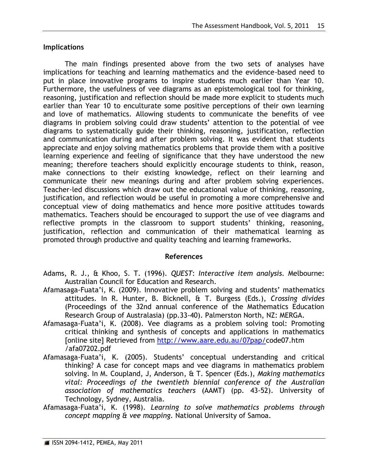### **Implications**

The main findings presented above from the two sets of analyses have implications for teaching and learning mathematics and the evidence-based need to put in place innovative programs to inspire students much earlier than Year 10. Furthermore, the usefulness of vee diagrams as an epistemological tool for thinking, reasoning, justification and reflection should be made more explicit to students much earlier than Year 10 to enculturate some positive perceptions of their own learning and love of mathematics. Allowing students to communicate the benefits of vee diagrams in problem solving could draw students" attention to the potential of vee diagrams to systematically guide their thinking, reasoning, justification, reflection and communication during and after problem solving. It was evident that students appreciate and enjoy solving mathematics problems that provide them with a positive learning experience and feeling of significance that they have understood the new meaning; therefore teachers should explicitly encourage students to think, reason, make connections to their existing knowledge, reflect on their learning and communicate their new meanings during and after problem solving experiences. Teacher-led discussions which draw out the educational value of thinking, reasoning, justification, and reflection would be useful in promoting a more comprehensive and conceptual view of doing mathematics and hence more positive attitudes towards mathematics. Teachers should be encouraged to support the use of vee diagrams and reflective prompts in the classroom to support students' thinking, reasoning, justification, reflection and communication of their mathematical learning as promoted through productive and quality teaching and learning frameworks.

### **References**

- Adams, R. J., & Khoo, S. T. (1996). *QUEST*: *Interactive item analysis.* Melbourne: Australian Council for Education and Research.
- Afamasaga-Fuata'i, K. (2009). Innovative problem solving and students' mathematics attitudes. In R. Hunter, B. Bicknell, & T. Burgess (Eds.), *Crossing divides* (Proceedings of the 32nd annual conference of the Mathematics Education Research Group of Australasia) (pp.33-40). Palmerston North, NZ: MERGA.
- Afamasaga-Fuata"i, K. (2008). Vee diagrams as a problem solving tool: Promoting critical thinking and synthesis of concepts and applications in mathematics [online site] Retrieved from [http://www.aare.edu.au/07pap/c](http://www.aare.edu.au/07pap/)ode07.htm /afa07202.pdf
- Afamasaga-Fuata"i, K. (2005). Students" conceptual understanding and critical thinking? A case for concept maps and vee diagrams in mathematics problem solving. In M. Coupland, J, Anderson, & T. Spencer (Eds.), *Making mathematics vital: Proceedings of the twentieth biennial conference of the Australian association of mathematics teachers* (AAMT) (pp. 43-52). University of Technology, Sydney, Australia.
- Afamasaga-Fuata"i, K. (1998). *Learning to solve mathematics problems through concept mapping & vee mapping.* National University of Samoa.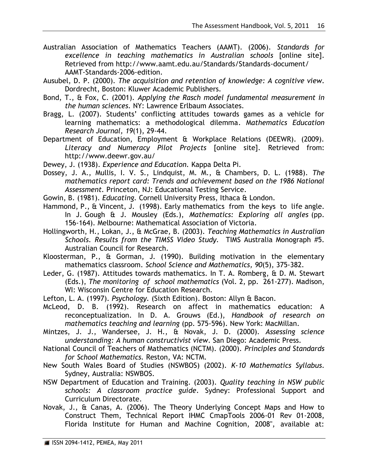- Australian Association of Mathematics Teachers (AAMT). (2006). *Standards for excellence in teaching mathematics in Australian schools* [online site]. Retrieved from http://www.aamt.edu.au/Standards/Standards-document/ AAMT-Standards-2006-edition.
- Ausubel, D. P. (2000). *The acquisition and retention of knowledge: A cognitive view*. Dordrecht, Boston: Kluwer Academic Publishers.
- Bond, T., & Fox, C. (2001). *Applying the Rasch model fundamental measurement in the human sciences.* NY: Lawrence Erlbaum Associates.
- Bragg, L. (2007). Students' conflicting attitudes towards games as a vehicle for learning mathematics: a methodological dilemma. M*athematics Education Research Journal, 19*(1), 29-44.
- Department of Education, Employment & Workplace Relations (DEEWR). (2009). *Literacy and Numeracy Pilot Projects* [online site]*.* Retrieved from: http://www.deewr.gov.au/
- Dewey, J. (1938). *Experience and Education.* Kappa Delta Pi.
- Dossey, J. A., Mullis, I. V. S., Lindquist, M. M., & Chambers, D. L. (1988). *The mathematics report card: Trends and achievement based on the 1986 National Assessment.* Princeton, NJ: Educational Testing Service.
- Gowin, B. (1981). *Educating.* Cornell University Press, Ithaca & London.
- Hammond, P., & Vincent, J. (1998). Early mathematics from the keys to life angle. In J. Gough & J. Mousley (Eds.), *Mathematics: Exploring all angles* (pp. 156-164). Melbourne: Mathematical Association of Victoria.
- Hollingworth, H., Lokan, J., & McGrae, B. (2003). *Teaching Mathematics in Australian Schools. Results from the TIMSS Video Study.* TIMS Australia Monograph #5. Australian Council for Research.
- Kloosterman, P., & Gorman, J. (1990). Building motivation in the elementary mathematics classroom. *School Science and Mathematics, 90*(5), 375-382.
- Leder, G. (1987). Attitudes towards mathematics. In T. A. Romberg, & D. M. Stewart (Eds.), *The monitoring of school mathematics* (Vol. 2, pp. 261-277). Madison, WI: Wisconsin Centre for Education Research.
- Lefton, L. A. (1997). *Psychology.* (Sixth Edition). Boston: Allyn & Bacon.
- McLeod, D. B. (1992). Research on affect in mathematics education: A reconceptualization. In D. A. Grouws (Ed.), *Handbook of research on mathematics teaching and learning* (pp. 575-596). New York: MacMillan.
- Mintzes, J. J., Wandersee, J. H., & Novak, J. D. (2000). *Assessing science understanding: A human constructivist view*. San Diego: Academic Press.
- National Council of Teachers of Mathematics (NCTM). (2000). *Principles and Standards for School Mathematics.* Reston, VA: NCTM.
- New South Wales Board of Studies (NSWBOS) (2002). *K-10 Mathematics Syllabus*. Sydney, Australia: NSWBOS.
- NSW Department of Education and Training. (2003). *Quality teaching in NSW public schools: A classroom practice guide*. Sydney: Professional Support and Curriculum Directorate.
- Novak, J., & Canas, A. (2006). The Theory Underlying Concept Maps and How to Construct Them, Technical Report IHMC CmapTools 2006-01 Rev 01-2008, Florida Institute for Human and Machine Cognition, 2008", available at: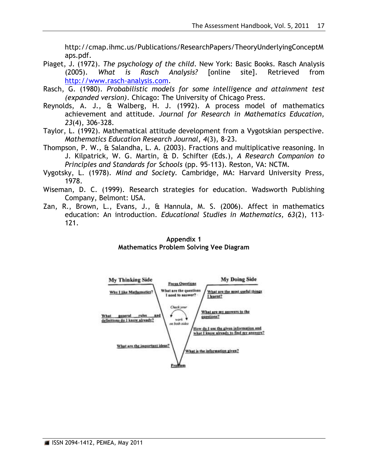http://cmap.ihmc.us/Publications/ResearchPapers/TheoryUnderlyingConceptM aps.pdf.

- Piaget, J. (1972). *The psychology of the child*. New York: Basic Books. Rasch Analysis (2005). *What is Rasch Analysis?* [online site]. Retrieved from http://www.rasch-analysis.com.
- Rasch, G. (1980). *Probabilistic models for some intelligence and attainment test (expanded version)*. Chicago: The University of Chicago Press.
- Reynolds, A. J., & Walberg, H. J. (1992). A process model of mathematics achievement and attitude. *Journal for Research in Mathematics Education, 23*(4), 306-328.
- Taylor, L. (1992). Mathematical attitude development from a Vygotskian perspective. *Mathematics Education Research Journal, 4*(3), 8-23.
- Thompson, P. W., & Salandha, L. A. (2003). Fractions and multiplicative reasoning. In J. Kilpatrick, W. G. Martin, & D. Schifter (Eds.), *A Research Companion to Principles and Standards for Schools* (pp. 95-113). Reston, VA: NCTM.
- Vygotsky, L. (1978). *Mind and Society.* Cambridge, MA: Harvard University Press, 1978.
- Wiseman, D. C. (1999). Research strategies for education. Wadsworth Publishing Company, Belmont: USA.
- Zan, R., Brown, L., Evans, J., & Hannula, M. S. (2006). Affect in mathematics education: An introduction. *Educational Studies in Mathematics, 63*(2), 113- 121.



**Appendix 1**

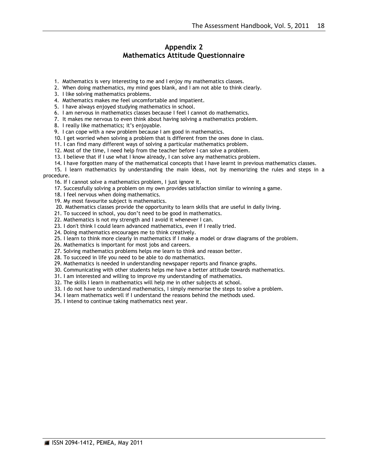#### **Appendix 2 Mathematics Attitude Questionnaire**

- 1. Mathematics is very interesting to me and I enjoy my mathematics classes.
- 2. When doing mathematics, my mind goes blank, and I am not able to think clearly.
- 3. I like solving mathematics problems.
- 4. Mathematics makes me feel uncomfortable and impatient.
- 5. I have always enjoyed studying mathematics in school.
- 6. I am nervous in mathematics classes because I feel I cannot do mathematics.
- 7. It makes me nervous to even think about having solving a mathematics problem.
- 8. I really like mathematics; it's enjoyable.
- 9. I can cope with a new problem because I am good in mathematics.
- 10. I get worried when solving a problem that is different from the ones done in class.
- 11. I can find many different ways of solving a particular mathematics problem.
- 12. Most of the time, I need help from the teacher before I can solve a problem.
- 13. I believe that if I use what I know already, I can solve any mathematics problem.
- 14. I have forgotten many of the mathematical concepts that I have learnt in previous mathematics classes.

15. I learn mathematics by understanding the main ideas, not by memorizing the rules and steps in a procedure.

- 16. If I cannot solve a mathematics problem, I just ignore it.
- 17. Successfully solving a problem on my own provides satisfaction similar to winning a game.
- 18. I feel nervous when doing mathematics.
- 19. My most favourite subject is mathematics.
- 20. Mathematics classes provide the opportunity to learn skills that are useful in daily living.
- 21. To succeed in school, you don"t need to be good in mathematics.
- 22. Mathematics is not my strength and I avoid it whenever I can.
- 23. I don't think I could learn advanced mathematics, even if I really tried.
- 24. Doing mathematics encourages me to think creatively.
- 25. I learn to think more clearly in mathematics if I make a model or draw diagrams of the problem.
- 26. Mathematics is important for most jobs and careers.
- 27. Solving mathematics problems helps me learn to think and reason better.
- 28. To succeed in life you need to be able to do mathematics.
- 29. Mathematics is needed in understanding newspaper reports and finance graphs.
- 30. Communicating with other students helps me have a better attitude towards mathematics.
- 31. I am interested and willing to improve my understanding of mathematics.
- 32. The skills I learn in mathematics will help me in other subjects at school.
- 33. I do not have to understand mathematics, I simply memorise the steps to solve a problem.
- 34. I learn mathematics well if I understand the reasons behind the methods used.
- 35. I intend to continue taking mathematics next year.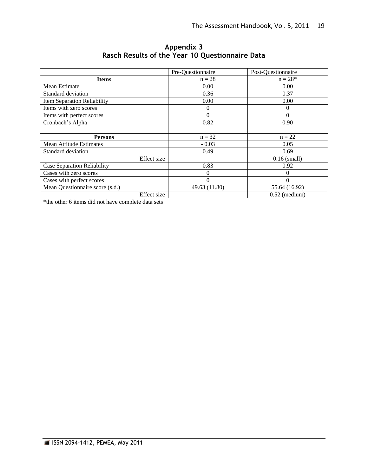|                                    | Pre-Questionnaire | Post-Questionnaire |
|------------------------------------|-------------------|--------------------|
| <b>Items</b>                       | $n = 28$          | $n = 28*$          |
| Mean Estimate                      | 0.00              | 0.00               |
| Standard deviation                 | 0.36              | 0.37               |
| <b>Item Separation Reliability</b> | 0.00              | 0.00               |
| Items with zero scores             | 0                 | $\Omega$           |
| Items with perfect scores          | 0                 | $\Omega$           |
| Cronbach's Alpha                   | 0.82              | 0.90               |
|                                    |                   |                    |
| <b>Persons</b>                     | $n = 32$          | $n = 22$           |
| <b>Mean Attitude Estimates</b>     | $-0.03$           | 0.05               |
| Standard deviation                 | 0.49              | 0.69               |
| Effect size                        |                   | $0.16$ (small)     |
| <b>Case Separation Reliability</b> | 0.83              | 0.92               |
| Cases with zero scores             | $\mathbf{0}$      | $\Omega$           |
| Cases with perfect scores          | $\Omega$          | $\Omega$           |
| Mean Questionnaire score (s.d.)    | 49.63 (11.80)     | 55.64 (16.92)      |
| Effect size                        |                   | $0.52$ (medium)    |

### **Appendix 3 Rasch Results of the Year 10 Questionnaire Data**

\*the other 6 items did not have complete data sets